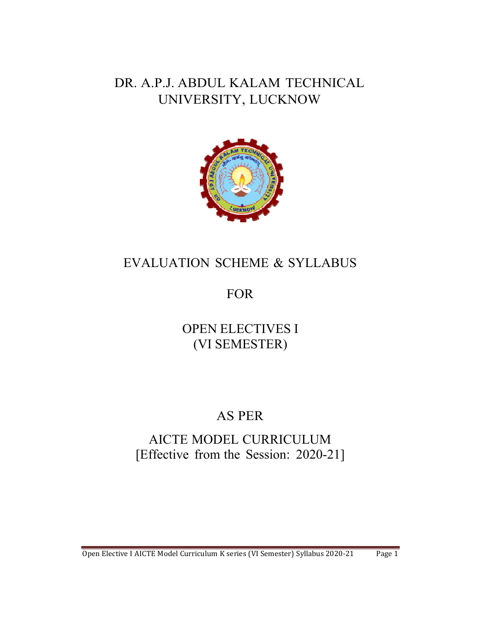# DR. A.P.J. ABDUL KALAM TECHNICAL UNIVERSITY, LUCKNOW



# EVALUATION SCHEME & SYLLABUS

# FOR

# OPEN ELECTIVES I (VI SEMESTER)

# AS PER

# AICTE MODEL CURRICULUM [Effective from the Session: 2020-21]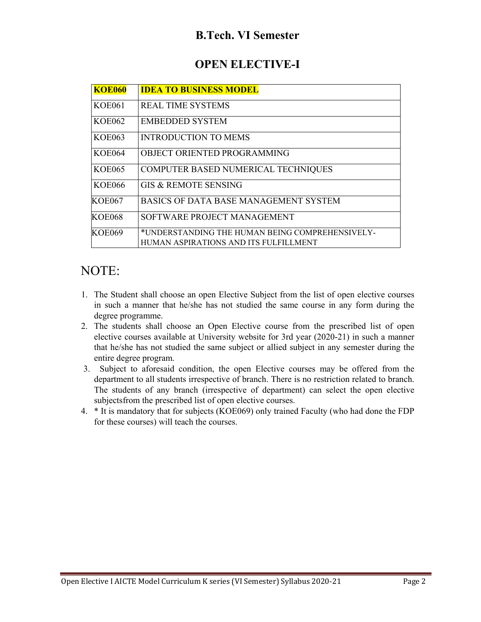## **B.Tech. VI Semester**

## **OPEN ELECTIVE-I**

| <b>KOE060</b> | <b>IDEA TO BUSINESS MODEL</b>                                                            |
|---------------|------------------------------------------------------------------------------------------|
| <b>KOE061</b> | <b>REAL TIME SYSTEMS</b>                                                                 |
| <b>KOE062</b> | <b>EMBEDDED SYSTEM</b>                                                                   |
| <b>KOE063</b> | <b>INTRODUCTION TO MEMS</b>                                                              |
| <b>KOE064</b> | OBJECT ORIENTED PROGRAMMING                                                              |
| <b>KOE065</b> | COMPUTER BASED NUMERICAL TECHNIQUES                                                      |
| <b>KOE066</b> | <b>GIS &amp; REMOTE SENSING</b>                                                          |
| <b>KOE067</b> | BASICS OF DATA BASE MANAGEMENT SYSTEM                                                    |
| <b>KOE068</b> | SOFTWARE PROJECT MANAGEMENT                                                              |
| KOE069        | *UNDERSTANDING THE HUMAN BEING COMPREHENSIVELY-<br>HUMAN ASPIRATIONS AND ITS FULFILLMENT |

# NOTE:

- 1. The Student shall choose an open Elective Subject from the list of open elective courses in such a manner that he/she has not studied the same course in any form during the degree programme.
- 2. The students shall choose an Open Elective course from the prescribed list of open elective courses available at University website for 3rd year (2020-21) in such a manner that he/she has not studied the same subject or allied subject in any semester during the entire degree program.
- 3. Subject to aforesaid condition, the open Elective courses may be offered from the department to all students irrespective of branch. There is no restriction related to branch. The students of any branch (irrespective of department) can select the open elective subjects from the prescribed list of open elective courses.
- 4. \* It is mandatory that for subjects (KOE069) only trained Faculty (who had done the FDP for these courses) will teach the courses.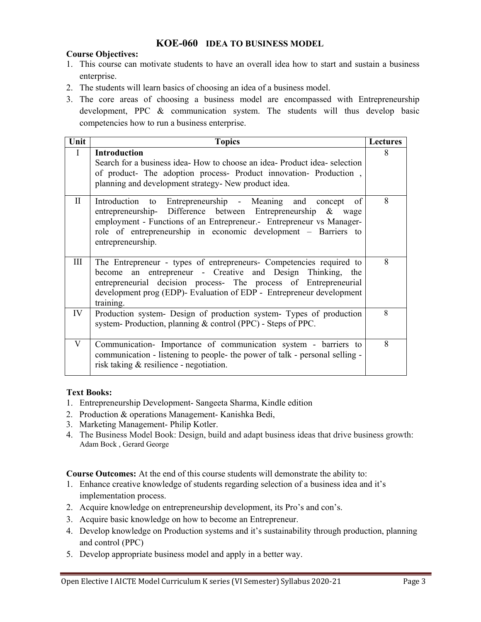#### **KOE-060 IDEA TO BUSINESS MODEL**

#### **Course Objectives:**

- 1. This course can motivate students to have an overall idea how to start and sustain a business enterprise.
- 2. The students will learn basics of choosing an idea of a business model.
- 3. The core areas of choosing a business model are encompassed with Entrepreneurship development, PPC & communication system. The students will thus develop basic competencies how to run a business enterprise.

| Unit         | <b>Topics</b>                                                                                                                                                                                                                                                                              | <b>Lectures</b> |
|--------------|--------------------------------------------------------------------------------------------------------------------------------------------------------------------------------------------------------------------------------------------------------------------------------------------|-----------------|
| $\mathbf{I}$ | <b>Introduction</b><br>Search for a business idea- How to choose an idea- Product idea- selection<br>of product- The adoption process- Product innovation- Production,<br>planning and development strategy- New product idea.                                                             | 8               |
| $\mathbf{I}$ | Introduction to Entrepreneurship - Meaning and concept<br>of<br>entrepreneurship- Difference between Entrepreneurship & wage<br>employment - Functions of an Entrepreneur. Entrepreneur vs Manager-<br>role of entrepreneurship in economic development – Barriers to<br>entrepreneurship. | 8               |
| Ш            | The Entrepreneur - types of entrepreneurs- Competencies required to<br>become an entrepreneur - Creative and Design Thinking, the<br>entrepreneurial decision process- The process of Entrepreneurial<br>development prog (EDP)- Evaluation of EDP - Entrepreneur development<br>training. | 8               |
| IV           | Production system- Design of production system- Types of production<br>system-Production, planning & control (PPC) - Steps of PPC.                                                                                                                                                         | 8               |
| V            | Communication- Importance of communication system - barriers to<br>communication - listening to people- the power of talk - personal selling -<br>risk taking & resilience - negotiation.                                                                                                  | 8               |

#### **Text Books:**

- 1. Entrepreneurship Development- Sangeeta Sharma, Kindle edition
- 2. Production & operations Management- Kanishka Bedi,
- 3. Marketing Management- Philip Kotler.
- 4. The Business Model Book: Design, build and adapt business ideas that drive business growth: Adam Bock , Gerard George

**Course Outcomes:** At the end of this course students will demonstrate the ability to:

- 1. Enhance creative knowledge of students regarding selection of a business idea and it's implementation process.
- 2. Acquire knowledge on entrepreneurship development, its Pro's and con's.
- 3. Acquire basic knowledge on how to become an Entrepreneur.
- 4. Develop knowledge on Production systems and it's sustainability through production, planning and control (PPC)
- 5. Develop appropriate business model and apply in a better way.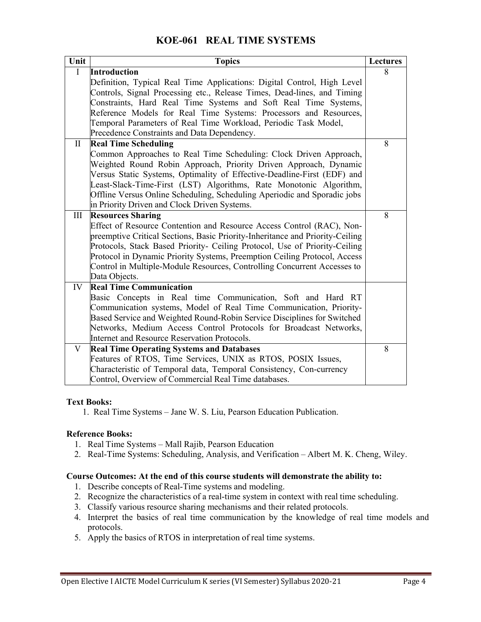### **KOE-061 REAL TIME SYSTEMS**

| Unit         | <b>Topics</b>                                                                 | <b>Lectures</b> |
|--------------|-------------------------------------------------------------------------------|-----------------|
| $\mathbf I$  | <b>Introduction</b>                                                           | 8               |
|              | Definition, Typical Real Time Applications: Digital Control, High Level       |                 |
|              | Controls, Signal Processing etc., Release Times, Dead-lines, and Timing       |                 |
|              | Constraints, Hard Real Time Systems and Soft Real Time Systems,               |                 |
|              | Reference Models for Real Time Systems: Processors and Resources,             |                 |
|              | Temporal Parameters of Real Time Workload, Periodic Task Model,               |                 |
|              | Precedence Constraints and Data Dependency.                                   |                 |
| $\mathbf{I}$ | <b>Real Time Scheduling</b>                                                   | 8               |
|              | Common Approaches to Real Time Scheduling: Clock Driven Approach,             |                 |
|              | Weighted Round Robin Approach, Priority Driven Approach, Dynamic              |                 |
|              | Versus Static Systems, Optimality of Effective-Deadline-First (EDF) and       |                 |
|              | Least-Slack-Time-First (LST) Algorithms, Rate Monotonic Algorithm,            |                 |
|              | Offline Versus Online Scheduling, Scheduling Aperiodic and Sporadic jobs      |                 |
|              | in Priority Driven and Clock Driven Systems.                                  |                 |
| Ш            | <b>Resources Sharing</b>                                                      | 8               |
|              | Effect of Resource Contention and Resource Access Control (RAC), Non-         |                 |
|              | preemptive Critical Sections, Basic Priority-Inheritance and Priority-Ceiling |                 |
|              | Protocols, Stack Based Priority- Ceiling Protocol, Use of Priority-Ceiling    |                 |
|              | Protocol in Dynamic Priority Systems, Preemption Ceiling Protocol, Access     |                 |
|              | Control in Multiple-Module Resources, Controlling Concurrent Accesses to      |                 |
|              | Data Objects.                                                                 |                 |
| IV           | <b>Real Time Communication</b>                                                |                 |
|              | Basic Concepts in Real time Communication, Soft and Hard RT                   |                 |
|              | Communication systems, Model of Real Time Communication, Priority-            |                 |
|              | Based Service and Weighted Round-Robin Service Disciplines for Switched       |                 |
|              | Networks, Medium Access Control Protocols for Broadcast Networks,             |                 |
|              | Internet and Resource Reservation Protocols.                                  |                 |
| V            | <b>Real Time Operating Systems and Databases</b>                              | 8               |
|              | Features of RTOS, Time Services, UNIX as RTOS, POSIX Issues,                  |                 |
|              | Characteristic of Temporal data, Temporal Consistency, Con-currency           |                 |
|              | Control, Overview of Commercial Real Time databases.                          |                 |

#### **Text Books:**

1. Real Time Systems – Jane W. S. Liu, Pearson Education Publication.

#### **Reference Books:**

- 1. Real Time Systems Mall Rajib, Pearson Education
- 2. Real-Time Systems: Scheduling, Analysis, and Verification Albert M. K. Cheng, Wiley.

#### **Course Outcomes: At the end of this course students will demonstrate the ability to:**

- 1. Describe concepts of Real-Time systems and modeling.
- 2. Recognize the characteristics of a real-time system in context with real time scheduling.
- 3. Classify various resource sharing mechanisms and their related protocols.
- 4. Interpret the basics of real time communication by the knowledge of real time models and protocols.
- 5. Apply the basics of RTOS in interpretation of real time systems.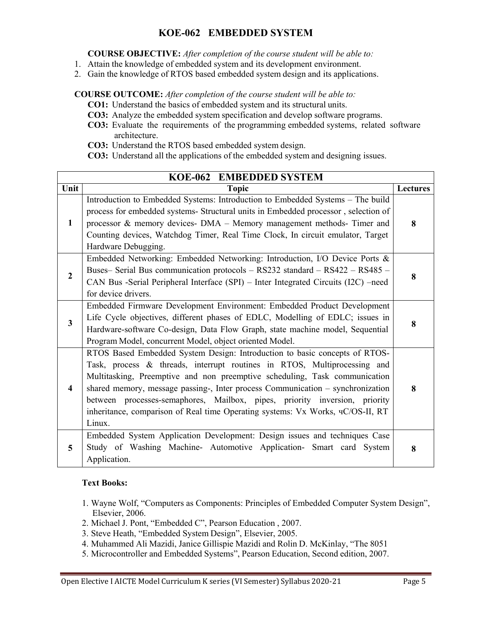### **KOE-062 EMBEDDED SYSTEM**

**COURSE OBJECTIVE:** *After completion of the course student will be able to:* 

- 1. Attain the knowledge of embedded system and its development environment.
- 2. Gain the knowledge of RTOS based embedded system design and its applications.

**COURSE OUTCOME:** *After completion of the course student will be able to:* 

- **CO1:** Understand the basics of embedded system and its structural units.
- **CO3:** Analyze the embedded system specification and develop software programs.
- **CO3:** Evaluate the requirements of the programming embedded systems, related software architecture.
- **CO3:** Understand the RTOS based embedded system design.
- **CO3:** Understand all the applications of the embedded system and designing issues.

| KOE-062 EMBEDDED SYSTEM |                                                                                                                                                                                                                                                                                                                                                                                                                                                                                                  |                 |
|-------------------------|--------------------------------------------------------------------------------------------------------------------------------------------------------------------------------------------------------------------------------------------------------------------------------------------------------------------------------------------------------------------------------------------------------------------------------------------------------------------------------------------------|-----------------|
| Unit                    | <b>Topic</b>                                                                                                                                                                                                                                                                                                                                                                                                                                                                                     | <b>Lectures</b> |
| $\mathbf{1}$            | Introduction to Embedded Systems: Introduction to Embedded Systems - The build<br>process for embedded systems- Structural units in Embedded processor, selection of<br>processor & memory devices- DMA - Memory management methods- Timer and<br>Counting devices, Watchdog Timer, Real Time Clock, In circuit emulator, Target<br>Hardware Debugging.                                                                                                                                          | 8               |
| $\overline{2}$          | Embedded Networking: Embedded Networking: Introduction, I/O Device Ports &<br>Buses- Serial Bus communication protocols - RS232 standard - RS422 - RS485 -<br>CAN Bus -Serial Peripheral Interface (SPI) - Inter Integrated Circuits (I2C) -need<br>for device drivers.                                                                                                                                                                                                                          | 8               |
| $\mathbf{3}$            | Embedded Firmware Development Environment: Embedded Product Development<br>Life Cycle objectives, different phases of EDLC, Modelling of EDLC; issues in<br>Hardware-software Co-design, Data Flow Graph, state machine model, Sequential<br>Program Model, concurrent Model, object oriented Model.                                                                                                                                                                                             | 8               |
| $\overline{\mathbf{4}}$ | RTOS Based Embedded System Design: Introduction to basic concepts of RTOS-<br>Task, process & threads, interrupt routines in RTOS, Multiprocessing and<br>Multitasking, Preemptive and non preemptive scheduling, Task communication<br>shared memory, message passing-, Inter process Communication - synchronization<br>between processes-semaphores, Mailbox, pipes, priority inversion, priority<br>inheritance, comparison of Real time Operating systems: Vx Works, чC/OS-II, RT<br>Linux. | 8               |
| $\overline{5}$          | Embedded System Application Development: Design issues and techniques Case<br>Study of Washing Machine- Automotive Application- Smart card System<br>Application.                                                                                                                                                                                                                                                                                                                                | 8               |

#### **Text Books:**

- 1. Wayne Wolf, "Computers as Components: Principles of Embedded Computer System Design", Elsevier, 2006.
- 2. Michael J. Pont, "Embedded C", Pearson Education , 2007.
- 3. Steve Heath, "Embedded System Design", Elsevier, 2005.
- 4. Muhammed Ali Mazidi, Janice Gillispie Mazidi and Rolin D. McKinlay, "The 8051
- 5. Microcontroller and Embedded Systems", Pearson Education, Second edition, 2007.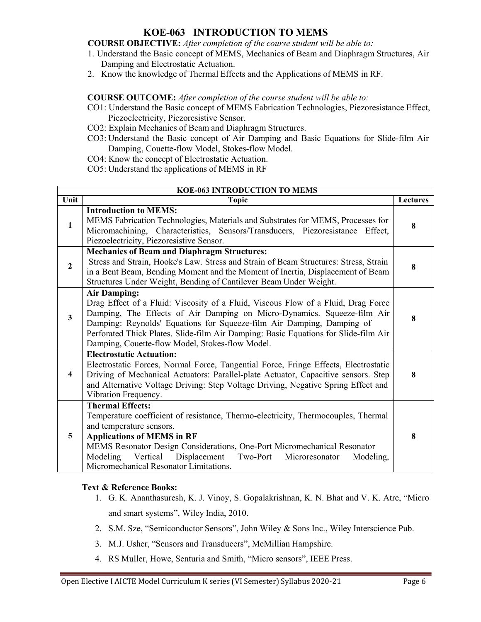### **KOE-063 INTRODUCTION TO MEMS**

**COURSE OBJECTIVE:** *After completion of the course student will be able to:* 

- 1. Understand the Basic concept of MEMS, Mechanics of Beam and Diaphragm Structures, Air Damping and Electrostatic Actuation.
- 2. Know the knowledge of Thermal Effects and the Applications of MEMS in RF.

**COURSE OUTCOME:** *After completion of the course student will be able to:* 

- CO1: Understand the Basic concept of MEMS Fabrication Technologies, Piezoresistance Effect, Piezoelectricity, Piezoresistive Sensor.
- CO2: Explain Mechanics of Beam and Diaphragm Structures.
- CO3: Understand the Basic concept of Air Damping and Basic Equations for Slide-film Air Damping, Couette-flow Model, Stokes-flow Model.
- CO4: Know the concept of Electrostatic Actuation.
- CO5: Understand the applications of MEMS in RF

| <b>KOE-063 INTRODUCTION TO MEMS</b> |                                                                                                                                                                                                                                                                                                                                                                                                        |                 |
|-------------------------------------|--------------------------------------------------------------------------------------------------------------------------------------------------------------------------------------------------------------------------------------------------------------------------------------------------------------------------------------------------------------------------------------------------------|-----------------|
| Unit                                | <b>Topic</b>                                                                                                                                                                                                                                                                                                                                                                                           | <b>Lectures</b> |
| $\mathbf{1}$                        | <b>Introduction to MEMS:</b><br>MEMS Fabrication Technologies, Materials and Substrates for MEMS, Processes for<br>Micromachining, Characteristics, Sensors/Transducers, Piezoresistance Effect,<br>Piezoelectricity, Piezoresistive Sensor.                                                                                                                                                           | 8               |
| $\overline{2}$                      | <b>Mechanics of Beam and Diaphragm Structures:</b><br>Stress and Strain, Hooke's Law. Stress and Strain of Beam Structures: Stress, Strain<br>in a Bent Beam, Bending Moment and the Moment of Inertia, Displacement of Beam<br>Structures Under Weight, Bending of Cantilever Beam Under Weight.                                                                                                      | 8               |
| $\overline{3}$                      | <b>Air Damping:</b><br>Drag Effect of a Fluid: Viscosity of a Fluid, Viscous Flow of a Fluid, Drag Force<br>Damping, The Effects of Air Damping on Micro-Dynamics. Squeeze-film Air<br>Damping: Reynolds' Equations for Squeeze-film Air Damping, Damping of<br>Perforated Thick Plates. Slide-film Air Damping: Basic Equations for Slide-film Air<br>Damping, Couette-flow Model, Stokes-flow Model. | 8               |
| $\overline{\mathbf{4}}$             | <b>Electrostatic Actuation:</b><br>Electrostatic Forces, Normal Force, Tangential Force, Fringe Effects, Electrostatic<br>Driving of Mechanical Actuators: Parallel-plate Actuator, Capacitive sensors. Step<br>and Alternative Voltage Driving: Step Voltage Driving, Negative Spring Effect and<br>Vibration Frequency.                                                                              | 8               |
| 5                                   | <b>Thermal Effects:</b><br>Temperature coefficient of resistance, Thermo-electricity, Thermocouples, Thermal<br>and temperature sensors.<br><b>Applications of MEMS in RF</b><br>MEMS Resonator Design Considerations, One-Port Micromechanical Resonator<br>Modeling<br>Vertical<br>Displacement<br>Two-Port<br>Microresonator<br>Modeling,<br>Micromechanical Resonator Limitations.                 | 8               |

#### **Text & Reference Books:**

- 1. G. K. Ananthasuresh, K. J. Vinoy, S. Gopalakrishnan, K. N. Bhat and V. K. Atre, "Micro and smart systems", Wiley India, 2010.
- 2. S.M. Sze, "Semiconductor Sensors", John Wiley & Sons Inc., Wiley Interscience Pub.
- 3. M.J. Usher, "Sensors and Transducers", McMillian Hampshire.
- 4. RS Muller, Howe, Senturia and Smith, "Micro sensors", IEEE Press.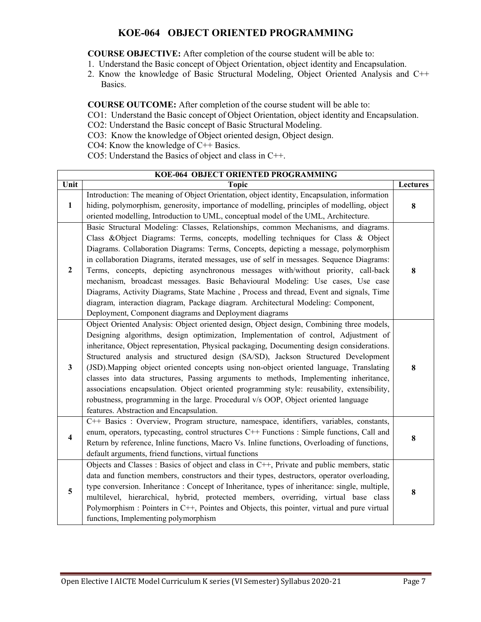### **KOE-064 OBJECT ORIENTED PROGRAMMING**

**COURSE OBJECTIVE:** After completion of the course student will be able to:

- 1. Understand the Basic concept of Object Orientation, object identity and Encapsulation.
- 2. Know the knowledge of Basic Structural Modeling, Object Oriented Analysis and C++ Basics.

**COURSE OUTCOME:** After completion of the course student will be able to:

- CO1: Understand the Basic concept of Object Orientation, object identity and Encapsulation.
- CO2: Understand the Basic concept of Basic Structural Modeling.
- CO3: Know the knowledge of Object oriented design, Object design.
- CO4: Know the knowledge of C++ Basics.
- CO5: Understand the Basics of object and class in C++.

|                | <b>KOE-064 OBJECT ORIENTED PROGRAMMING</b>                                                                                                                                                                                                                                                                                                                                                                                                                                                                                                                                                                                                                                                                                                                                             |          |  |
|----------------|----------------------------------------------------------------------------------------------------------------------------------------------------------------------------------------------------------------------------------------------------------------------------------------------------------------------------------------------------------------------------------------------------------------------------------------------------------------------------------------------------------------------------------------------------------------------------------------------------------------------------------------------------------------------------------------------------------------------------------------------------------------------------------------|----------|--|
| Unit           | <b>Topic</b>                                                                                                                                                                                                                                                                                                                                                                                                                                                                                                                                                                                                                                                                                                                                                                           | Lectures |  |
| $\mathbf{1}$   | Introduction: The meaning of Object Orientation, object identity, Encapsulation, information<br>hiding, polymorphism, generosity, importance of modelling, principles of modelling, object<br>oriented modelling, Introduction to UML, conceptual model of the UML, Architecture.                                                                                                                                                                                                                                                                                                                                                                                                                                                                                                      | 8        |  |
| $\overline{2}$ | Basic Structural Modeling: Classes, Relationships, common Mechanisms, and diagrams.<br>Class &Object Diagrams: Terms, concepts, modelling techniques for Class & Object<br>Diagrams. Collaboration Diagrams: Terms, Concepts, depicting a message, polymorphism<br>in collaboration Diagrams, iterated messages, use of self in messages. Sequence Diagrams:<br>Terms, concepts, depicting asynchronous messages with/without priority, call-back<br>mechanism, broadcast messages. Basic Behavioural Modeling: Use cases, Use case<br>Diagrams, Activity Diagrams, State Machine, Process and thread, Event and signals, Time<br>diagram, interaction diagram, Package diagram. Architectural Modeling: Component,<br>Deployment, Component diagrams and Deployment diagrams          | 8        |  |
| $\mathbf{3}$   | Object Oriented Analysis: Object oriented design, Object design, Combining three models,<br>Designing algorithms, design optimization, Implementation of control, Adjustment of<br>inheritance, Object representation, Physical packaging, Documenting design considerations.<br>Structured analysis and structured design (SA/SD), Jackson Structured Development<br>(JSD). Mapping object oriented concepts using non-object oriented language, Translating<br>classes into data structures, Passing arguments to methods, Implementing inheritance,<br>associations encapsulation. Object oriented programming style: reusability, extensibility,<br>robustness, programming in the large. Procedural v/s OOP, Object oriented language<br>features. Abstraction and Encapsulation. | 8        |  |
| 4              | C++ Basics : Overview, Program structure, namespace, identifiers, variables, constants,<br>enum, operators, typecasting, control structures C++ Functions : Simple functions, Call and<br>Return by reference, Inline functions, Macro Vs. Inline functions, Overloading of functions,<br>default arguments, friend functions, virtual functions                                                                                                                                                                                                                                                                                                                                                                                                                                       | 8        |  |
| 5              | Objects and Classes : Basics of object and class in C++, Private and public members, static<br>data and function members, constructors and their types, destructors, operator overloading,<br>type conversion. Inheritance : Concept of Inheritance, types of inheritance: single, multiple,<br>multilevel, hierarchical, hybrid, protected members, overriding, virtual base class<br>Polymorphism : Pointers in C++, Pointes and Objects, this pointer, virtual and pure virtual<br>functions, Implementing polymorphism                                                                                                                                                                                                                                                             | 8        |  |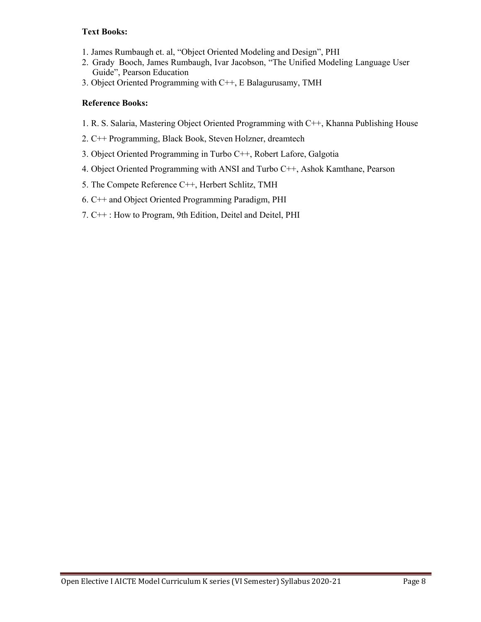#### **Text Books:**

- 1. James Rumbaugh et. al, "Object Oriented Modeling and Design", PHI
- 2. Grady Booch, James Rumbaugh, Ivar Jacobson, "The Unified Modeling Language User Guide", Pearson Education
- 3. Object Oriented Programming with C++, E Balagurusamy, TMH

#### **Reference Books:**

- 1. R. S. Salaria, Mastering Object Oriented Programming with C++, Khanna Publishing House
- 2. C++ Programming, Black Book, Steven Holzner, dreamtech
- 3. Object Oriented Programming in Turbo C++, Robert Lafore, Galgotia
- 4. Object Oriented Programming with ANSI and Turbo C++, Ashok Kamthane, Pearson
- 5. The Compete Reference C++, Herbert Schlitz, TMH
- 6. C++ and Object Oriented Programming Paradigm, PHI
- 7. C++ : How to Program, 9th Edition, Deitel and Deitel, PHI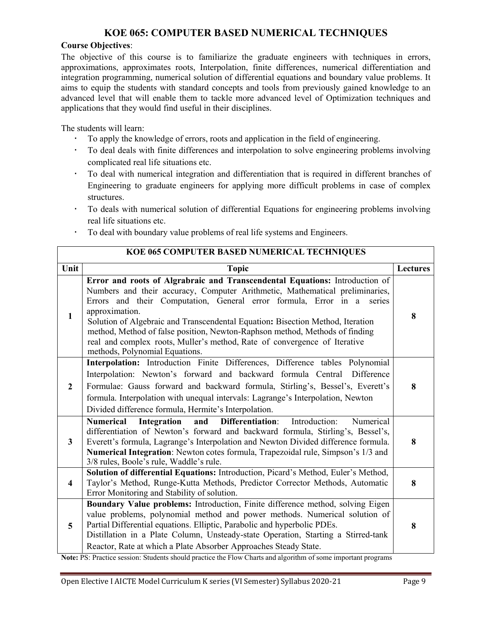### **KOE 065: COMPUTER BASED NUMERICAL TECHNIQUES**

#### **Course Objectives**:

The objective of this course is to familiarize the graduate engineers with techniques in errors, approximations, approximates roots, Interpolation, finite differences, numerical differentiation and integration programming, numerical solution of differential equations and boundary value problems. It aims to equip the students with standard concepts and tools from previously gained knowledge to an advanced level that will enable them to tackle more advanced level of Optimization techniques and applications that they would find useful in their disciplines.

The students will learn:

- To apply the knowledge of errors, roots and application in the field of engineering.
- To deal deals with finite differences and interpolation to solve engineering problems involving complicated real life situations etc.
- To deal with numerical integration and differentiation that is required in different branches of Engineering to graduate engineers for applying more difficult problems in case of complex structures.
- To deals with numerical solution of differential Equations for engineering problems involving real life situations etc.
- To deal with boundary value problems of real life systems and Engineers.

| KOE 065 COMPUTER BASED NUMERICAL TECHNIQUES |                                                                                                                                                                                                                                                                                                                                                                                                                                                                                                                                            |                 |
|---------------------------------------------|--------------------------------------------------------------------------------------------------------------------------------------------------------------------------------------------------------------------------------------------------------------------------------------------------------------------------------------------------------------------------------------------------------------------------------------------------------------------------------------------------------------------------------------------|-----------------|
| Unit                                        | <b>Topic</b>                                                                                                                                                                                                                                                                                                                                                                                                                                                                                                                               | <b>Lectures</b> |
| 1                                           | Error and roots of Algrabraic and Transcendental Equations: Introduction of<br>Numbers and their accuracy, Computer Arithmetic, Mathematical preliminaries,<br>Errors and their Computation, General error formula, Error in a<br>series<br>approximation.<br>Solution of Algebraic and Transcendental Equation: Bisection Method, Iteration<br>method, Method of false position, Newton-Raphson method, Methods of finding<br>real and complex roots, Muller's method, Rate of convergence of Iterative<br>methods, Polynomial Equations. | 8               |
| $\overline{2}$                              | Interpolation: Introduction Finite Differences, Difference tables Polynomial<br>Interpolation: Newton's forward and backward formula Central Difference<br>Formulae: Gauss forward and backward formula, Stirling's, Bessel's, Everett's<br>formula. Interpolation with unequal intervals: Lagrange's Interpolation, Newton<br>Divided difference formula, Hermite's Interpolation.                                                                                                                                                        | 8               |
| $\mathbf{3}$                                | Differentiation:<br>Introduction:<br><b>Numerical</b><br>Integration<br>Numerical<br>and<br>differentiation of Newton's forward and backward formula, Stirling's, Bessel's,<br>Everett's formula, Lagrange's Interpolation and Newton Divided difference formula.<br>Numerical Integration: Newton cotes formula, Trapezoidal rule, Simpson's 1/3 and<br>3/8 rules, Boole's rule, Waddle's rule.                                                                                                                                           | 8               |
| $\overline{\mathbf{4}}$                     | Solution of differential Equations: Introduction, Picard's Method, Euler's Method,<br>Taylor's Method, Runge-Kutta Methods, Predictor Corrector Methods, Automatic<br>Error Monitoring and Stability of solution.                                                                                                                                                                                                                                                                                                                          | 8               |
| 5                                           | Boundary Value problems: Introduction, Finite difference method, solving Eigen<br>value problems, polynomial method and power methods. Numerical solution of<br>Partial Differential equations. Elliptic, Parabolic and hyperbolic PDEs.<br>Distillation in a Plate Column, Unsteady-state Operation, Starting a Stirred-tank<br>Reactor, Rate at which a Plate Absorber Approaches Steady State.                                                                                                                                          | 8               |

**Note:** PS: Practice session: Students should practice the Flow Charts and algorithm of some important programs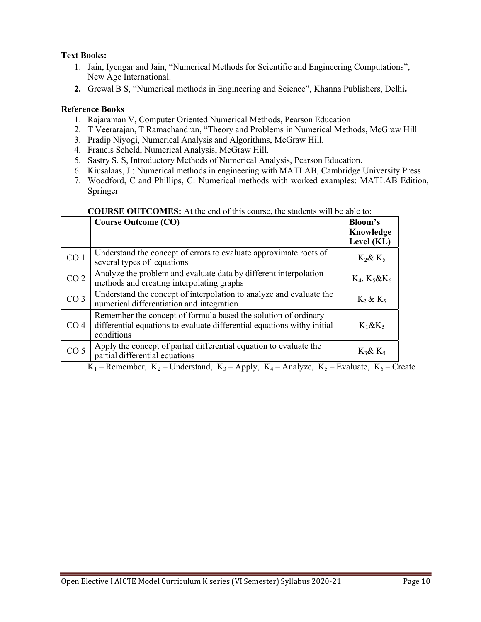#### **Text Books:**

- 1. Jain, Iyengar and Jain, "Numerical Methods for Scientific and Engineering Computations", New Age International.
- **2.** Grewal B S, "Numerical methods in Engineering and Science", Khanna Publishers, Delhi**.**

#### **Reference Books**

- 1. Rajaraman V, Computer Oriented Numerical Methods, Pearson Education
- 2. T Veerarajan, T Ramachandran, "Theory and Problems in Numerical Methods, McGraw Hill
- 3. Pradip Niyogi, Numerical Analysis and Algorithms, McGraw Hill.
- 4. Francis Scheld, Numerical Analysis, McGraw Hill.
- 5. Sastry S. S, Introductory Methods of Numerical Analysis, Pearson Education.
- 6. Kiusalaas, J.: Numerical methods in engineering with MATLAB, Cambridge University Press
- 7. Woodford, C and Phillips, C: Numerical methods with worked examples: MATLAB Edition, Springer

|                 | COUNSE OUTCOMES, The the cha of this course, the students will be able to.                                                                              |                                    |  |
|-----------------|---------------------------------------------------------------------------------------------------------------------------------------------------------|------------------------------------|--|
|                 | <b>Course Outcome (CO)</b>                                                                                                                              | Bloom's<br>Knowledge<br>Level (KL) |  |
| CO <sub>1</sub> | Understand the concept of errors to evaluate approximate roots of<br>several types of equations                                                         | $K_2 \& K_5$                       |  |
| CO <sub>2</sub> | Analyze the problem and evaluate data by different interpolation<br>methods and creating interpolating graphs                                           | $K_4, K_5&K_6$                     |  |
| CO <sub>3</sub> | Understand the concept of interpolation to analyze and evaluate the<br>numerical differentiation and integration                                        | $K_2$ & $K_5$                      |  |
| CO <sub>4</sub> | Remember the concept of formula based the solution of ordinary<br>differential equations to evaluate differential equations withy initial<br>conditions | $K_1 \& K_5$                       |  |
| CO <sub>5</sub> | Apply the concept of partial differential equation to evaluate the<br>partial differential equations                                                    | $K_3$ & $K_5$                      |  |

#### **COURSE OUTCOMES:** At the end of this course, the students will be able to:

K<sub>1</sub> – Remember, K<sub>2</sub> – Understand, K<sub>3</sub> – Apply, K<sub>4</sub> – Analyze, K<sub>5</sub> – Evaluate, K<sub>6</sub> – Create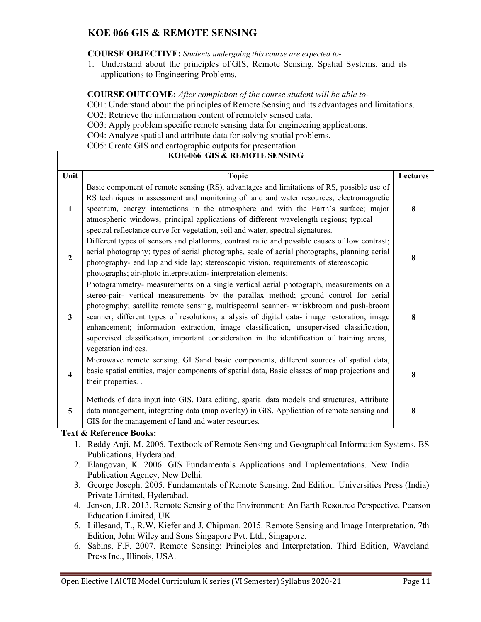### **KOE 066 GIS & REMOTE SENSING**

#### **COURSE OBJECTIVE:** *Students undergoing this course are expected to-*

1. Understand about the principles of GIS, Remote Sensing, Spatial Systems, and its applications to Engineering Problems.

#### **COURSE OUTCOME:** *After completion of the course student will be able to-*

CO1: Understand about the principles of Remote Sensing and its advantages and limitations.

CO2: Retrieve the information content of remotely sensed data.

CO3: Apply problem specific remote sensing data for engineering applications.

CO4: Analyze spatial and attribute data for solving spatial problems.

CO5: Create GIS and cartographic outputs for presentation

### **KOE-066 GIS & REMOTE SENSING**

| Unit                    | <b>Topic</b>                                                                                                                                                                                                                                                                                                                                                                                                                                                                                                                                                                              | <b>Lectures</b> |
|-------------------------|-------------------------------------------------------------------------------------------------------------------------------------------------------------------------------------------------------------------------------------------------------------------------------------------------------------------------------------------------------------------------------------------------------------------------------------------------------------------------------------------------------------------------------------------------------------------------------------------|-----------------|
| $\mathbf{1}$            | Basic component of remote sensing (RS), advantages and limitations of RS, possible use of<br>RS techniques in assessment and monitoring of land and water resources; electromagnetic<br>spectrum, energy interactions in the atmosphere and with the Earth's surface; major<br>atmospheric windows; principal applications of different wavelength regions; typical<br>spectral reflectance curve for vegetation, soil and water, spectral signatures.                                                                                                                                    | 8               |
| $\mathbf{2}$            | Different types of sensors and platforms; contrast ratio and possible causes of low contrast;<br>aerial photography; types of aerial photographs, scale of aerial photographs, planning aerial<br>photography- end lap and side lap; stereoscopic vision, requirements of stereoscopic<br>photographs; air-photo interpretation- interpretation elements;                                                                                                                                                                                                                                 | 8               |
| 3                       | Photogrammetry- measurements on a single vertical aerial photograph, measurements on a<br>stereo-pair- vertical measurements by the parallax method; ground control for aerial<br>photography; satellite remote sensing, multispectral scanner- whiskbroom and push-broom<br>scanner; different types of resolutions; analysis of digital data- image restoration; image<br>enhancement; information extraction, image classification, unsupervised classification,<br>supervised classification, important consideration in the identification of training areas,<br>vegetation indices. | 8               |
| $\overline{\mathbf{4}}$ | Microwave remote sensing. GI Sand basic components, different sources of spatial data,<br>basic spatial entities, major components of spatial data, Basic classes of map projections and<br>their properties. .                                                                                                                                                                                                                                                                                                                                                                           | 8               |
| 5                       | Methods of data input into GIS, Data editing, spatial data models and structures, Attribute<br>data management, integrating data (map overlay) in GIS, Application of remote sensing and<br>GIS for the management of land and water resources.                                                                                                                                                                                                                                                                                                                                           | 8               |

#### **Text & Reference Books:**

- 1. Reddy Anji, M. 2006. Textbook of Remote Sensing and Geographical Information Systems. BS Publications, Hyderabad.
- 2. Elangovan, K. 2006. GIS Fundamentals Applications and Implementations. New India Publication Agency, New Delhi.
- 3. George Joseph. 2005. Fundamentals of Remote Sensing. 2nd Edition. Universities Press (India) Private Limited, Hyderabad.
- 4. Jensen, J.R. 2013. Remote Sensing of the Environment: An Earth Resource Perspective. Pearson Education Limited, UK.
- 5. Lillesand, T., R.W. Kiefer and J. Chipman. 2015. Remote Sensing and Image Interpretation. 7th Edition, John Wiley and Sons Singapore Pvt. Ltd., Singapore.
- 6. Sabins, F.F. 2007. Remote Sensing: Principles and Interpretation. Third Edition, Waveland Press Inc., Illinois, USA.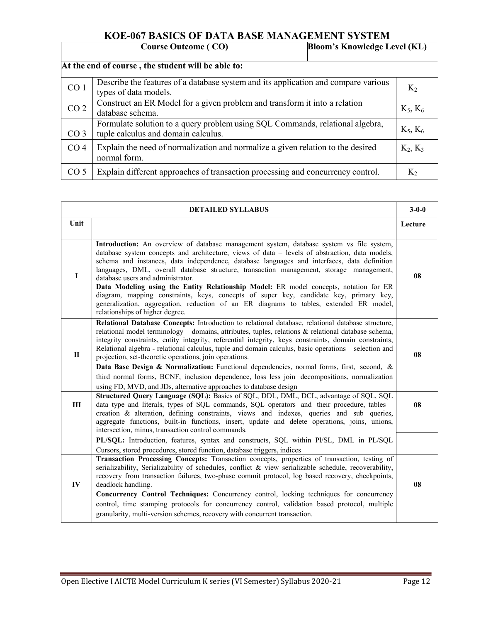## **KOE-067 BASICS OF DATA BASE MANAGEMENT SYSTEM**

| <b>Bloom's Knowledge Level (KL)</b><br><b>Course Outcome (CO)</b> |                                                                                                                      |  |            |
|-------------------------------------------------------------------|----------------------------------------------------------------------------------------------------------------------|--|------------|
| At the end of course, the student will be able to:                |                                                                                                                      |  |            |
| CO <sub>1</sub>                                                   | Describe the features of a database system and its application and compare various<br>types of data models.          |  | $K_2$      |
| CO <sub>2</sub>                                                   | Construct an ER Model for a given problem and transform it into a relation<br>database schema.                       |  | $K_5, K_6$ |
| CO <sub>3</sub>                                                   | Formulate solution to a query problem using SQL Commands, relational algebra,<br>tuple calculus and domain calculus. |  | $K_5, K_6$ |
| CO <sub>4</sub>                                                   | Explain the need of normalization and normalize a given relation to the desired<br>normal form.                      |  | $K_2, K_3$ |
| CO <sub>5</sub>                                                   | Explain different approaches of transaction processing and concurrency control.                                      |  | $K_2$      |

| <b>DETAILED SYLLABUS</b> |                                                                                                                                                                                                                                                                                                                                                                                                                                                                                                                                                                                                                                                                                                                                                        | $3 - 0 - 0$ |
|--------------------------|--------------------------------------------------------------------------------------------------------------------------------------------------------------------------------------------------------------------------------------------------------------------------------------------------------------------------------------------------------------------------------------------------------------------------------------------------------------------------------------------------------------------------------------------------------------------------------------------------------------------------------------------------------------------------------------------------------------------------------------------------------|-------------|
| Unit                     |                                                                                                                                                                                                                                                                                                                                                                                                                                                                                                                                                                                                                                                                                                                                                        | Lecture     |
| $\mathbf I$              | Introduction: An overview of database management system, database system vs file system,<br>database system concepts and architecture, views of data – levels of abstraction, data models,<br>schema and instances, data independence, database languages and interfaces, data definition<br>languages, DML, overall database structure, transaction management, storage management,<br>database users and administrator.<br>Data Modeling using the Entity Relationship Model: ER model concepts, notation for ER<br>diagram, mapping constraints, keys, concepts of super key, candidate key, primary key,<br>generalization, aggregation, reduction of an ER diagrams to tables, extended ER model,<br>relationships of higher degree.              | 08          |
| $\Pi$                    | Relational Database Concepts: Introduction to relational database, relational database structure,<br>relational model terminology - domains, attributes, tuples, relations & relational database schema,<br>integrity constraints, entity integrity, referential integrity, keys constraints, domain constraints,<br>Relational algebra - relational calculus, tuple and domain calculus, basic operations - selection and<br>projection, set-theoretic operations, join operations.<br>Data Base Design & Normalization: Functional dependencies, normal forms, first, second, &<br>third normal forms, BCNF, inclusion dependence, loss less join decompositions, normalization<br>using FD, MVD, and JDs, alternative approaches to database design | 08          |
| Ш                        | Structured Query Language (SQL): Basics of SQL, DDL, DML, DCL, advantage of SQL, SQL<br>data type and literals, types of SQL commands, SQL operators and their procedure, tables -<br>creation & alteration, defining constraints, views and indexes, queries and sub queries,<br>aggregate functions, built-in functions, insert, update and delete operations, joins, unions,<br>intersection, minus, transaction control commands.                                                                                                                                                                                                                                                                                                                  | 08          |
|                          | PL/SQL: Introduction, features, syntax and constructs, SQL within Pl/SL, DML in PL/SQL<br>Cursors, stored procedures, stored function, database triggers, indices                                                                                                                                                                                                                                                                                                                                                                                                                                                                                                                                                                                      |             |
| IV                       | Transaction Processing Concepts: Transaction concepts, properties of transaction, testing of<br>serializability, Serializability of schedules, conflict & view serializable schedule, recoverability,<br>recovery from transaction failures, two-phase commit protocol, log based recovery, checkpoints,<br>deadlock handling.<br>Concurrency Control Techniques: Concurrency control, locking techniques for concurrency<br>control, time stamping protocols for concurrency control, validation based protocol, multiple<br>granularity, multi-version schemes, recovery with concurrent transaction.                                                                                                                                                | 08          |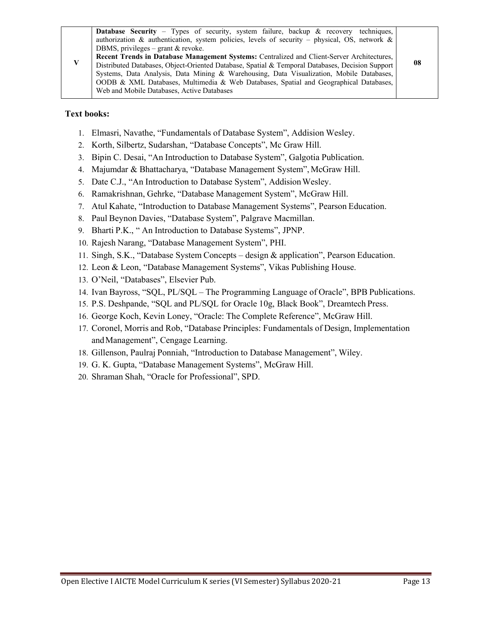#### **Text books:**

- 1. Elmasri, Navathe, "Fundamentals of Database System", Addision Wesley.
- 2. Korth, Silbertz, Sudarshan, "Database Concepts", Mc Graw Hill.
- 3. Bipin C. Desai, "An Introduction to Database System", Galgotia Publication.
- 4. Majumdar & Bhattacharya, "Database Management System", McGraw Hill.
- 5. Date C.J., "An Introduction to Database System", Addision Wesley.
- 6. Ramakrishnan, Gehrke, "Database Management System", McGraw Hill.
- 7. Atul Kahate, "Introduction to Database Management Systems", Pearson Education.
- 8. Paul Beynon Davies, "Database System", Palgrave Macmillan.
- 9. Bharti P.K., " An Introduction to Database Systems", JPNP.
- 10. Rajesh Narang, "Database Management System", PHI.
- 11. Singh, S.K., "Database System Concepts design & application", Pearson Education.
- 12. Leon & Leon, "Database Management Systems", Vikas Publishing House.
- 13. O'Neil, "Databases", Elsevier Pub.
- 14. Ivan Bayross, "SQL, PL/SQL The Programming Language of Oracle", BPB Publications.
- 15. P.S. Deshpande, "SQL and PL/SQL for Oracle 10g, Black Book", Dreamtech Press.
- 16. George Koch, Kevin Loney, "Oracle: The Complete Reference", McGraw Hill.
- 17. Coronel, Morris and Rob, "Database Principles: Fundamentals of Design, Implementation and Management", Cengage Learning.
- 18. Gillenson, Paulraj Ponniah, "Introduction to Database Management", Wiley.
- 19. G. K. Gupta, "Database Management Systems", McGraw Hill.
- 20. Shraman Shah, "Oracle for Professional", SPD.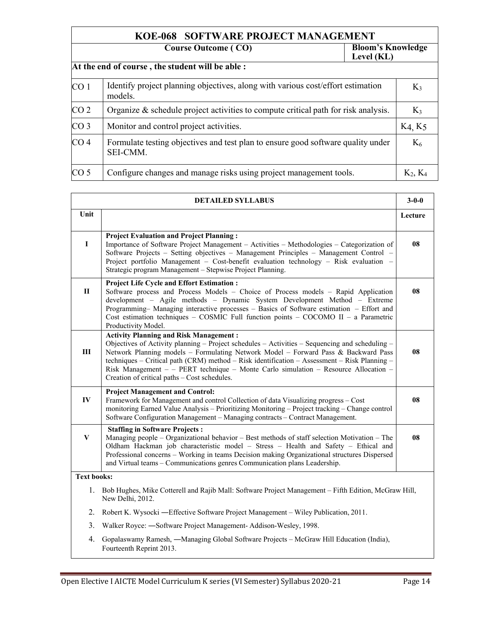| KOE-068 SOFTWARE PROJECT MANAGEMENT                                  |                                                                                              |  |            |  |
|----------------------------------------------------------------------|----------------------------------------------------------------------------------------------|--|------------|--|
| <b>Bloom's Knowledge</b><br><b>Course Outcome (CO)</b><br>Level (KL) |                                                                                              |  |            |  |
|                                                                      | At the end of course, the student will be able:                                              |  |            |  |
| CO <sub>1</sub>                                                      | Identify project planning objectives, along with various cost/effort estimation<br>models.   |  | $K_3$      |  |
| CO <sub>2</sub>                                                      | Organize $\&$ schedule project activities to compute critical path for risk analysis.        |  | $K_3$      |  |
| CO <sub>3</sub>                                                      | Monitor and control project activities.                                                      |  | K4, K5     |  |
| CO <sub>4</sub>                                                      | Formulate testing objectives and test plan to ensure good software quality under<br>SEI-CMM. |  | $K_6$      |  |
| CO <sub>5</sub>                                                      | Configure changes and manage risks using project management tools.                           |  | $K_2, K_4$ |  |

| <b>DETAILED SYLLABUS</b> |                                                                                                                                                                                                                                                                                                                                                                                                                                                                              |         |
|--------------------------|------------------------------------------------------------------------------------------------------------------------------------------------------------------------------------------------------------------------------------------------------------------------------------------------------------------------------------------------------------------------------------------------------------------------------------------------------------------------------|---------|
| Unit                     |                                                                                                                                                                                                                                                                                                                                                                                                                                                                              | Lecture |
| $\mathbf{I}$             | <b>Project Evaluation and Project Planning:</b><br>Importance of Software Project Management – Activities – Methodologies – Categorization of<br>Software Projects - Setting objectives - Management Principles - Management Control -<br>Project portfolio Management – Cost-benefit evaluation technology – Risk evaluation –<br>Strategic program Management - Stepwise Project Planning.                                                                                 | 08      |
| $\mathbf{H}$             | <b>Project Life Cycle and Effort Estimation:</b><br>Software process and Process Models - Choice of Process models - Rapid Application<br>development - Agile methods - Dynamic System Development Method - Extreme<br>Programming- Managing interactive processes - Basics of Software estimation - Effort and<br>Cost estimation techniques - COSMIC Full function points - COCOMO II - a Parametric<br>Productivity Model.                                                | 08      |
| III                      | <b>Activity Planning and Risk Management:</b><br>Objectives of Activity planning – Project schedules – Activities – Sequencing and scheduling –<br>Network Planning models - Formulating Network Model - Forward Pass & Backward Pass<br>techniques – Critical path (CRM) method – Risk identification – Assessment – Risk Planning –<br>Risk Management - - PERT technique - Monte Carlo simulation - Resource Allocation -<br>Creation of critical paths - Cost schedules. | 08      |
| $\mathbf{IV}$            | <b>Project Management and Control:</b><br>Framework for Management and control Collection of data Visualizing progress - Cost<br>monitoring Earned Value Analysis - Prioritizing Monitoring - Project tracking - Change control<br>Software Configuration Management - Managing contracts - Contract Management.                                                                                                                                                             | 08      |
| V                        | <b>Staffing in Software Projects:</b><br>Managing people - Organizational behavior - Best methods of staff selection Motivation - The<br>Oldham Hackman job characteristic model - Stress - Health and Safety - Ethical and<br>Professional concerns – Working in teams Decision making Organizational structures Dispersed<br>and Virtual teams - Communications genres Communication plans Leadership.                                                                     | 08      |
| <b>Text books:</b>       |                                                                                                                                                                                                                                                                                                                                                                                                                                                                              |         |
|                          | 1. Bob Hughes, Mike Cotterell and Rajib Mall: Software Project Management – Fifth Edition, McGraw Hill,<br>New Delhi, 2012.                                                                                                                                                                                                                                                                                                                                                  |         |
| 2.                       | Robert K. Wysocki — Effective Software Project Management – Wiley Publication, 2011.                                                                                                                                                                                                                                                                                                                                                                                         |         |

- 3. Walker Royce: ―Software Project Management- Addison-Wesley, 1998.
- 4. Gopalaswamy Ramesh, ―Managing Global Software Projects McGraw Hill Education (India), Fourteenth Reprint 2013.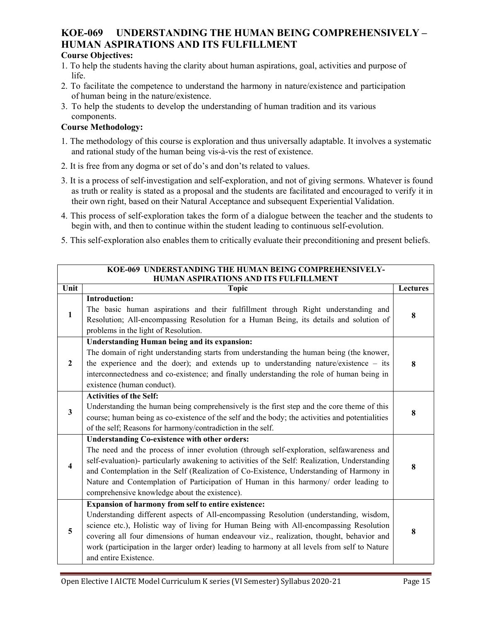# **KOE-069 UNDERSTANDING THE HUMAN BEING COMPREHENSIVELY – HUMAN ASPIRATIONS AND ITS FULFILLMENT**

#### **Course Objectives:**

- 1. To help the students having the clarity about human aspirations, goal, activities and purpose of life.
- 2. To facilitate the competence to understand the harmony in nature/existence and participation of human being in the nature/existence.
- 3. To help the students to develop the understanding of human tradition and its various components.

#### **Course Methodology:**

- 1. The methodology of this course is exploration and thus universally adaptable. It involves a systematic and rational study of the human being vis-à-vis the rest of existence.
- 2. It is free from any dogma or set of do's and don'ts related to values.
- 3. It is a process of self-investigation and self-exploration, and not of giving sermons. Whatever is found as truth or reality is stated as a proposal and the students are facilitated and encouraged to verify it in their own right, based on their Natural Acceptance and subsequent Experiential Validation.
- 4. This process of self-exploration takes the form of a dialogue between the teacher and the students to begin with, and then to continue within the student leading to continuous self-evolution.
- 5. This self-exploration also enables them to critically evaluate their preconditioning and present beliefs.

| KOE-069 UNDERSTANDING THE HUMAN BEING COMPREHENSIVELY-<br>HUMAN ASPIRATIONS AND ITS FULFILLMENT |                                                                                                                                                                                                                                                                                                                                                                                                                                                                                        |                 |  |
|-------------------------------------------------------------------------------------------------|----------------------------------------------------------------------------------------------------------------------------------------------------------------------------------------------------------------------------------------------------------------------------------------------------------------------------------------------------------------------------------------------------------------------------------------------------------------------------------------|-----------------|--|
| <b>Unit</b>                                                                                     | <b>Topic</b>                                                                                                                                                                                                                                                                                                                                                                                                                                                                           | <b>Lectures</b> |  |
| $\mathbf{1}$                                                                                    | <b>Introduction:</b><br>The basic human aspirations and their fulfillment through Right understanding and<br>Resolution; All-encompassing Resolution for a Human Being, its details and solution of<br>problems in the light of Resolution.                                                                                                                                                                                                                                            | 8               |  |
| $\mathbf{2}$                                                                                    | <b>Understanding Human being and its expansion:</b><br>The domain of right understanding starts from understanding the human being (the knower,<br>the experience and the doer); and extends up to understanding nature/existence $-$ its<br>interconnectedness and co-existence; and finally understanding the role of human being in<br>existence (human conduct).                                                                                                                   | 8               |  |
| $\overline{\mathbf{3}}$                                                                         | <b>Activities of the Self:</b><br>Understanding the human being comprehensively is the first step and the core theme of this<br>course; human being as co-existence of the self and the body; the activities and potentialities<br>of the self; Reasons for harmony/contradiction in the self.                                                                                                                                                                                         | 8               |  |
| 4                                                                                               | <b>Understanding Co-existence with other orders:</b><br>The need and the process of inner evolution (through self-exploration, selfawareness and<br>self-evaluation)- particularly awakening to activities of the Self: Realization, Understanding<br>and Contemplation in the Self (Realization of Co-Existence, Understanding of Harmony in<br>Nature and Contemplation of Participation of Human in this harmony/ order leading to<br>comprehensive knowledge about the existence). | 8               |  |
| 5                                                                                               | Expansion of harmony from self to entire existence:<br>Understanding different aspects of All-encompassing Resolution (understanding, wisdom,<br>science etc.), Holistic way of living for Human Being with All-encompassing Resolution<br>covering all four dimensions of human endeavour viz., realization, thought, behavior and<br>work (participation in the larger order) leading to harmony at all levels from self to Nature<br>and entire Existence.                          | 8               |  |